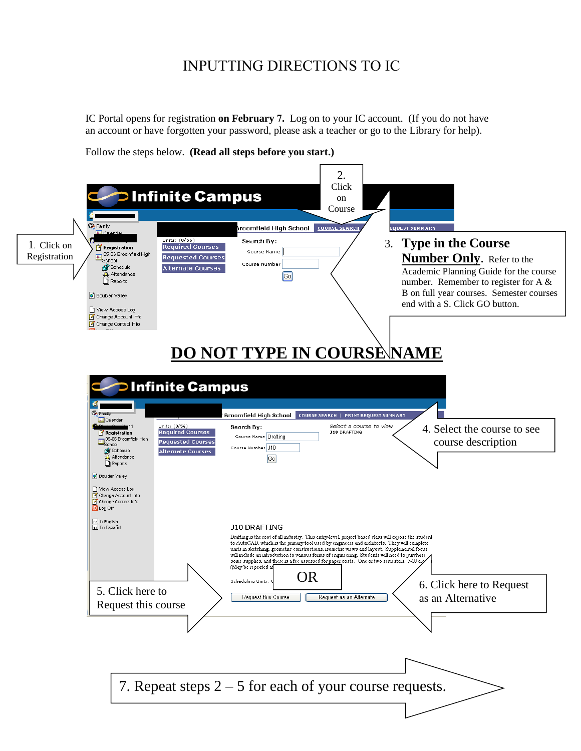## INPUTTING DIRECTIONS TO IC

IC Portal opens for registration **on February 7.** Log on to your IC account. (If you do not have an account or have forgotten your password, please ask a teacher or go to the Library for help).

Follow the steps below. **(Read all steps before you start.)**